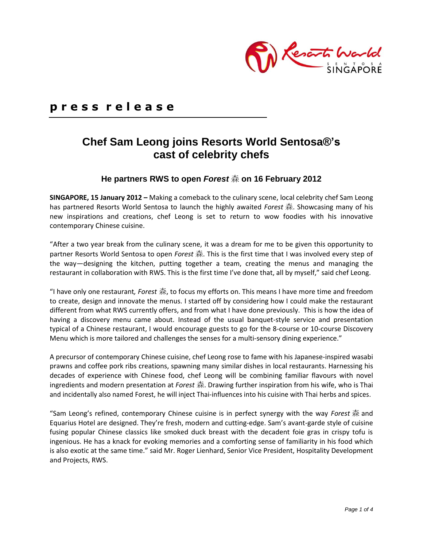

## **p r e s s r e l e a s e**

# **Chef Sam Leong joins Resorts World Sentosa®'s cast of celebrity chefs**

### **He partners RWS to open** *Forest* 森 **on 16 February 2012**

**SINGAPORE, 15 January 2012 –** Making a comeback to the culinary scene, local celebrity chef Sam Leong has partnered Resorts World Sentosa to launch the highly awaited *Forest* 森. Showcasing many of his new inspirations and creations, chef Leong is set to return to wow foodies with his innovative contemporary Chinese cuisine.

"After a two year break from the culinary scene, it was a dream for me to be given this opportunity to partner Resorts World Sentosa to open *Forest* 森. This is the first time that I was involved every step of the way—designing the kitchen, putting together a team, creating the menus and managing the restaurant in collaboration with RWS. This is the first time I've done that, all by myself," said chef Leong.

"I have only one restaurant*, Forest* 森, to focus my efforts on. This means I have more time and freedom to create, design and innovate the menus. I started off by considering how I could make the restaurant different from what RWS currently offers, and from what I have done previously. This is how the idea of having a discovery menu came about. Instead of the usual banquet-style service and presentation typical of a Chinese restaurant, I would encourage guests to go for the 8-course or 10-course Discovery Menu which is more tailored and challenges the senses for a multi-sensory dining experience."

A precursor of contemporary Chinese cuisine, chef Leong rose to fame with his Japanese-inspired wasabi prawns and coffee pork ribs creations, spawning many similar dishes in local restaurants. Harnessing his decades of experience with Chinese food, chef Leong will be combining familiar flavours with novel ingredients and modern presentation at *Forest* 森. Drawing further inspiration from his wife, who is Thai and incidentally also named Forest, he will inject Thai-influences into his cuisine with Thai herbs and spices.

"Sam Leong's refined, contemporary Chinese cuisine is in perfect synergy with the way *Forest* 森 and Equarius Hotel are designed. They're fresh, modern and cutting-edge. Sam's avant-garde style of cuisine fusing popular Chinese classics like smoked duck breast with the decadent foie gras in crispy tofu is ingenious. He has a knack for evoking memories and a comforting sense of familiarity in his food which is also exotic at the same time." said Mr. Roger Lienhard, Senior Vice President, Hospitality Development and Projects, RWS.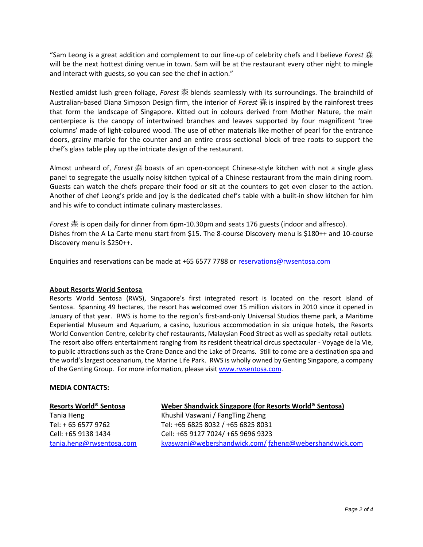"Sam Leong is a great addition and complement to our line-up of celebrity chefs and I believe *Forest* 森 will be the next hottest dining venue in town. Sam will be at the restaurant every other night to mingle and interact with guests, so you can see the chef in action."

Nestled amidst lush green foliage, *Forest* 森 blends seamlessly with its surroundings. The brainchild of Australian-based Diana Simpson Design firm, the interior of *Forest* 森 is inspired by the rainforest trees that form the landscape of Singapore. Kitted out in colours derived from Mother Nature, the main centerpiece is the canopy of intertwined branches and leaves supported by four magnificent 'tree columns' made of light-coloured wood. The use of other materials like mother of pearl for the entrance doors, grainy marble for the counter and an entire cross-sectional block of tree roots to support the chef's glass table play up the intricate design of the restaurant.

Almost unheard of, *Forest* 森 boasts of an open-concept Chinese-style kitchen with not a single glass panel to segregate the usually noisy kitchen typical of a Chinese restaurant from the main dining room. Guests can watch the chefs prepare their food or sit at the counters to get even closer to the action. Another of chef Leong's pride and joy is the dedicated chef's table with a built-in show kitchen for him and his wife to conduct intimate culinary masterclasses.

*Forest* 森 is open daily for dinner from 6pm-10.30pm and seats 176 guests (indoor and alfresco). Dishes from the A La Carte menu start from \$15. The 8-course Discovery menu is \$180++ and 10-course Discovery menu is \$250++.

Enquiries and reservations can be made at +65 6577 7788 or [reservations@rwsentosa.com](mailto:reservations@rwsentosa.com)

#### **About Resorts World Sentosa**

Resorts World Sentosa (RWS), Singapore's first integrated resort is located on the resort island of Sentosa. Spanning 49 hectares, the resort has welcomed over 15 million visitors in 2010 since it opened in January of that year. RWS is home to the region's first-and-only Universal Studios theme park, a Maritime Experiential Museum and Aquarium, a casino, luxurious accommodation in six unique hotels, the Resorts World Convention Centre, celebrity chef restaurants, Malaysian Food Street as well as specialty retail outlets. The resort also offers entertainment ranging from its resident theatrical circus spectacular - Voyage de la Vie, to public attractions such as the Crane Dance and the Lake of Dreams. Still to come are a destination spa and the world's largest oceanarium, the Marine Life Park. RWS is wholly owned by Genting Singapore, a company of the Genting Group. For more information, please visit [www.rwsentosa.com.](http://www.rwsentosa.com/)

#### **MEDIA CONTACTS:**

#### **Resorts World® Sentosa**

Tania Heng Tel: + 65 6577 9762 Cell: +65 9138 1434 [tania.heng@rwsentosa.com](mailto:tania.heng@rwsentosa.com)

#### **Weber Shandwick Singapore (for Resorts World® Sentosa)**

Khushil Vaswani / FangTing Zheng Tel: +65 6825 8032 / +65 6825 8031 Cell: +65 9127 7024/ +65 9696 9323 [kvaswani@webershandwick.com/](mailto:kvaswani@webershandwick.com/) [fzheng@webershandwick.com](mailto:fzheng@webershandwick.com)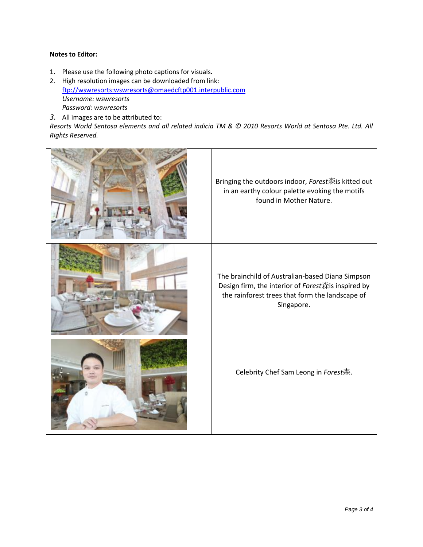#### **Notes to Editor:**

- 1. Please use the following photo captions for visuals.
- 2. High resolution images can be downloaded from link: [ftp://wswresorts:wswresorts@omaedcftp001.interpublic.com](ftp://wswresorts:wswresorts@omaedcftp001.interpublic.com/) *Username: wswresorts Password: wswresorts*
- *3.* All images are to be attributed to:

*Resorts World Sentosa elements and all related indicia TM & © 2010 Resorts World at Sentosa Pte. Ltd. All Rights Reserved.*